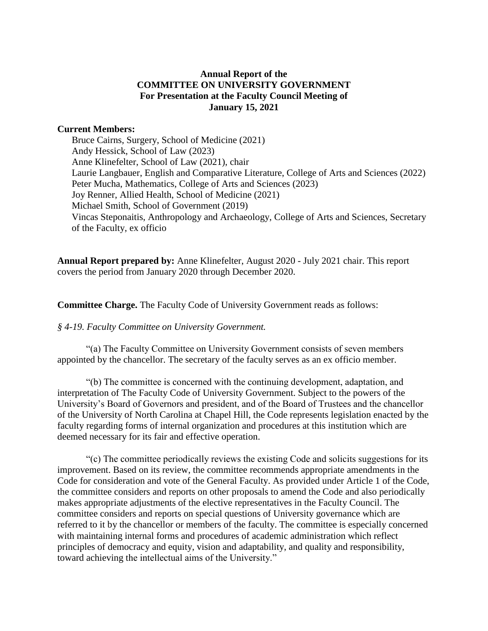# **Annual Report of the COMMITTEE ON UNIVERSITY GOVERNMENT For Presentation at the Faculty Council Meeting of January 15, 2021**

### **Current Members:**

Bruce Cairns, Surgery, School of Medicine (2021) Andy Hessick, School of Law (2023) Anne Klinefelter, School of Law (2021), chair Laurie Langbauer, English and Comparative Literature, College of Arts and Sciences (2022) Peter Mucha, Mathematics, College of Arts and Sciences (2023) Joy Renner, Allied Health, School of Medicine (2021) Michael Smith, School of Government (2019) Vincas Steponaitis, Anthropology and Archaeology, College of Arts and Sciences, Secretary of the Faculty, ex officio

**Annual Report prepared by:** Anne Klinefelter, August 2020 - July 2021 chair. This report covers the period from January 2020 through December 2020.

**Committee Charge.** The Faculty Code of University Government reads as follows:

### *§ 4-19. Faculty Committee on University Government.*

"(a) The Faculty Committee on University Government consists of seven members appointed by the chancellor. The secretary of the faculty serves as an ex officio member.

"(b) The committee is concerned with the continuing development, adaptation, and interpretation of The Faculty Code of University Government. Subject to the powers of the University's Board of Governors and president, and of the Board of Trustees and the chancellor of the University of North Carolina at Chapel Hill, the Code represents legislation enacted by the faculty regarding forms of internal organization and procedures at this institution which are deemed necessary for its fair and effective operation.

"(c) The committee periodically reviews the existing Code and solicits suggestions for its improvement. Based on its review, the committee recommends appropriate amendments in the Code for consideration and vote of the General Faculty. As provided under Article 1 of the Code, the committee considers and reports on other proposals to amend the Code and also periodically makes appropriate adjustments of the elective representatives in the Faculty Council. The committee considers and reports on special questions of University governance which are referred to it by the chancellor or members of the faculty. The committee is especially concerned with maintaining internal forms and procedures of academic administration which reflect principles of democracy and equity, vision and adaptability, and quality and responsibility, toward achieving the intellectual aims of the University."